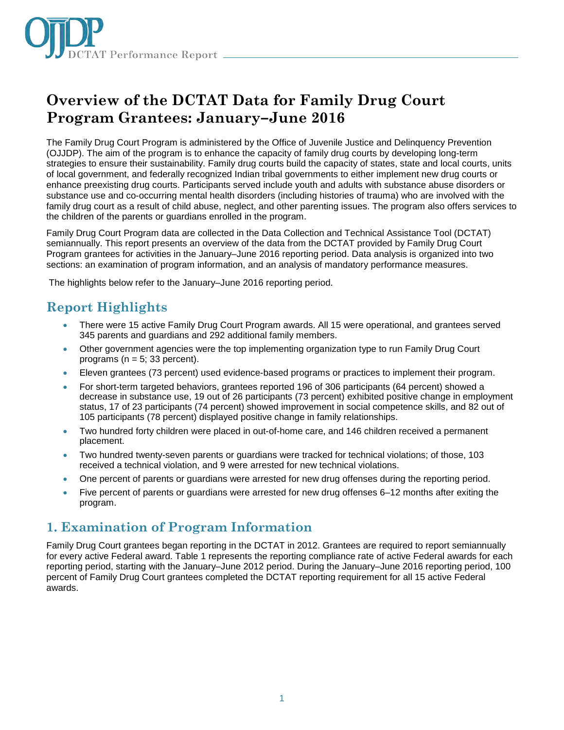

# **Overview of the DCTAT Data for Family Drug Court Program Grantees: January–June 2016**

The Family Drug Court Program is administered by the Office of Juvenile Justice and Delinquency Prevention (OJJDP). The aim of the program is to enhance the capacity of family drug courts by developing long-term strategies to ensure their sustainability. Family drug courts build the capacity of states, state and local courts, units of local government, and federally recognized Indian tribal governments to either implement new drug courts or enhance preexisting drug courts. Participants served include youth and adults with substance abuse disorders or substance use and co-occurring mental health disorders (including histories of trauma) who are involved with the family drug court as a result of child abuse, neglect, and other parenting issues. The program also offers services to the children of the parents or guardians enrolled in the program.

Family Drug Court Program data are collected in the Data Collection and Technical Assistance Tool (DCTAT) semiannually. This report presents an overview of the data from the DCTAT provided by Family Drug Court Program grantees for activities in the January–June 2016 reporting period. Data analysis is organized into two sections: an examination of program information, and an analysis of mandatory performance measures.

The highlights below refer to the January–June 2016 reporting period.

# **Report Highlights**

- There were 15 active Family Drug Court Program awards. All 15 were operational, and grantees served 345 parents and guardians and 292 additional family members.
- Other government agencies were the top implementing organization type to run Family Drug Court programs ( $n = 5$ ; 33 percent).
- Eleven grantees (73 percent) used evidence-based programs or practices to implement their program.
- For short-term targeted behaviors, grantees reported 196 of 306 participants (64 percent) showed a decrease in substance use, 19 out of 26 participants (73 percent) exhibited positive change in employment status, 17 of 23 participants (74 percent) showed improvement in social competence skills, and 82 out of 105 participants (78 percent) displayed positive change in family relationships.
- Two hundred forty children were placed in out-of-home care, and 146 children received a permanent placement.
- Two hundred twenty-seven parents or guardians were tracked for technical violations; of those, 103 received a technical violation, and 9 were arrested for new technical violations.
- One percent of parents or guardians were arrested for new drug offenses during the reporting period.
- Five percent of parents or guardians were arrested for new drug offenses 6–12 months after exiting the program.

# **1. Examination of Program Information**

Family Drug Court grantees began reporting in the DCTAT in 2012. Grantees are required to report semiannually for every active Federal award. Table 1 represents the reporting compliance rate of active Federal awards for each reporting period, starting with the January–June 2012 period. During the January–June 2016 reporting period, 100 percent of Family Drug Court grantees completed the DCTAT reporting requirement for all 15 active Federal awards.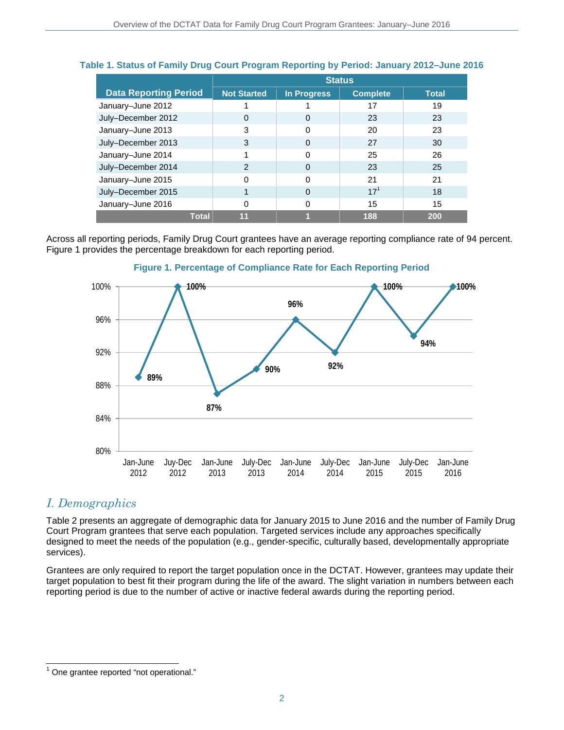|                              | <b>Status</b>      |                    |                 |              |
|------------------------------|--------------------|--------------------|-----------------|--------------|
| <b>Data Reporting Period</b> | <b>Not Started</b> | <b>In Progress</b> | <b>Complete</b> | <b>Total</b> |
| January-June 2012            |                    |                    | 17              | 19           |
| July-December 2012           | 0                  | 0                  | 23              | 23           |
| January-June 2013            | 3                  | ი                  | 20              | 23           |
| July-December 2013           | 3                  | 0                  | 27              | 30           |
| January-June 2014            |                    | U                  | 25              | 26           |
| July-December 2014           | $\mathcal{P}$      | 0                  | 23              | 25           |
| January-June 2015            | ი                  | O                  | 21              | 21           |
| July-December 2015           |                    | 0                  | $17^{1}$        | 18           |
| January-June 2016            | 0                  | 0                  | 15              | 15           |
| <b>Total</b>                 | 11                 |                    | 188             | 200          |

### **Table 1. Status of Family Drug Court Program Reporting by Period: January 2012–June 2016**

Across all reporting periods, Family Drug Court grantees have an average reporting compliance rate of 94 percent. Figure 1 provides the percentage breakdown for each reporting period.



### **Figure 1. Percentage of Compliance Rate for Each Reporting Period**

### *I. Demographics*

 $\overline{\phantom{a}}$ 

Table 2 presents an aggregate of demographic data for January 2015 to June 2016 and the number of Family Drug Court Program grantees that serve each population. Targeted services include any approaches specifically designed to meet the needs of the population (e.g., gender-specific, culturally based, developmentally appropriate services).

Grantees are only required to report the target population once in the DCTAT. However, grantees may update their target population to best fit their program during the life of the award. The slight variation in numbers between each reporting period is due to the number of active or inactive federal awards during the reporting period.

 $1$  One grantee reported "not operational."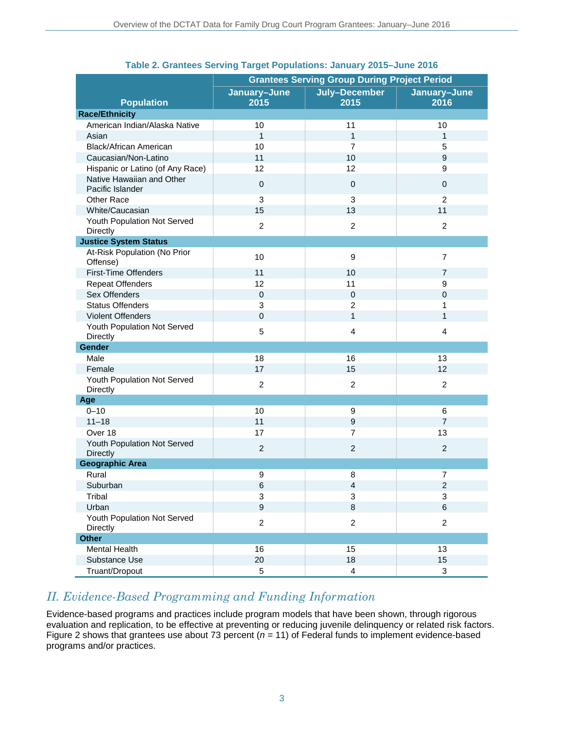|                                               | <b>Grantees Serving Group During Project Period</b> |                           |                           |
|-----------------------------------------------|-----------------------------------------------------|---------------------------|---------------------------|
| <b>Population</b>                             | January-June<br>2015                                | July-December<br>2015     | January-June<br>2016      |
| <b>Race/Ethnicity</b>                         |                                                     |                           |                           |
| American Indian/Alaska Native                 | 10                                                  | 11                        | 10                        |
| Asian                                         | $\mathbf{1}$                                        | $\mathbf{1}$              | $\mathbf{1}$              |
| <b>Black/African American</b>                 | 10                                                  | $\overline{7}$            | 5                         |
| Caucasian/Non-Latino                          | 11                                                  | 10                        | 9                         |
| Hispanic or Latino (of Any Race)              | 12                                                  | 12                        | 9                         |
| Native Hawaiian and Other<br>Pacific Islander | $\boldsymbol{0}$                                    | $\mathbf 0$               | $\mathbf 0$               |
| Other Race                                    | 3                                                   | 3                         | $\overline{2}$            |
| White/Caucasian                               | 15                                                  | 13                        | 11                        |
| Youth Population Not Served<br>Directly       | $\overline{2}$                                      | $\overline{2}$            | $\overline{2}$            |
| <b>Justice System Status</b>                  |                                                     |                           |                           |
| At-Risk Population (No Prior<br>Offense)      | 10                                                  | $\boldsymbol{9}$          | $\overline{7}$            |
| <b>First-Time Offenders</b>                   | 11                                                  | 10                        | $\overline{7}$            |
| <b>Repeat Offenders</b>                       | 12                                                  | 11                        | 9                         |
| Sex Offenders                                 | $\overline{0}$                                      | $\mathbf 0$               | $\mathbf{0}$              |
| <b>Status Offenders</b>                       | 3                                                   | $\overline{2}$            | 1                         |
| <b>Violent Offenders</b>                      | $\mathbf 0$                                         | $\mathbf{1}$              | 1                         |
| Youth Population Not Served<br>Directly       | 5                                                   | $\overline{4}$            | $\overline{4}$            |
| Gender                                        |                                                     |                           |                           |
| Male                                          | 18                                                  | 16                        | 13                        |
| Female                                        | 17                                                  | 15                        | 12                        |
| Youth Population Not Served<br>Directly       | $\overline{c}$                                      | $\overline{2}$            | $\overline{c}$            |
| Age                                           |                                                     |                           |                           |
| $0 - 10$                                      | 10                                                  | 9                         | 6                         |
| $11 - 18$                                     | 11                                                  | $\boldsymbol{9}$          | $\overline{7}$            |
| Over 18                                       | 17                                                  | $\overline{7}$            | 13                        |
| Youth Population Not Served<br>Directly       | $\overline{c}$                                      | $\overline{c}$            | $\overline{2}$            |
| <b>Geographic Area</b>                        |                                                     |                           |                           |
| Rural                                         | 9                                                   | 8                         | $\overline{7}$            |
| Suburban                                      | $\,6$                                               | $\overline{4}$            | $\overline{c}$            |
| Tribal                                        | $\ensuremath{\mathsf{3}}$                           | $\ensuremath{\mathsf{3}}$ | $\mathbf{3}$              |
| Urban                                         | $\boldsymbol{9}$                                    | $\bf 8$                   | $\,6\,$                   |
| Youth Population Not Served<br>Directly       | $\overline{c}$                                      | $\boldsymbol{2}$          | $\overline{c}$            |
| <b>Other</b>                                  |                                                     |                           |                           |
| Mental Health                                 | 16                                                  | 15                        | 13                        |
| Substance Use                                 | 20                                                  | 18                        | 15                        |
| Truant/Dropout                                | $\mathbf 5$                                         | $\overline{4}$            | $\ensuremath{\mathsf{3}}$ |

### **Table 2. Grantees Serving Target Populations: January 2015–June 2016**

## *II. Evidence-Based Programming and Funding Information*

Evidence-based programs and practices include program models that have been shown, through rigorous evaluation and replication, to be effective at preventing or reducing juvenile delinquency or related risk factors. Figure 2 shows that grantees use about 73 percent ( $n = 11$ ) of Federal funds to implement evidence-based programs and/or practices.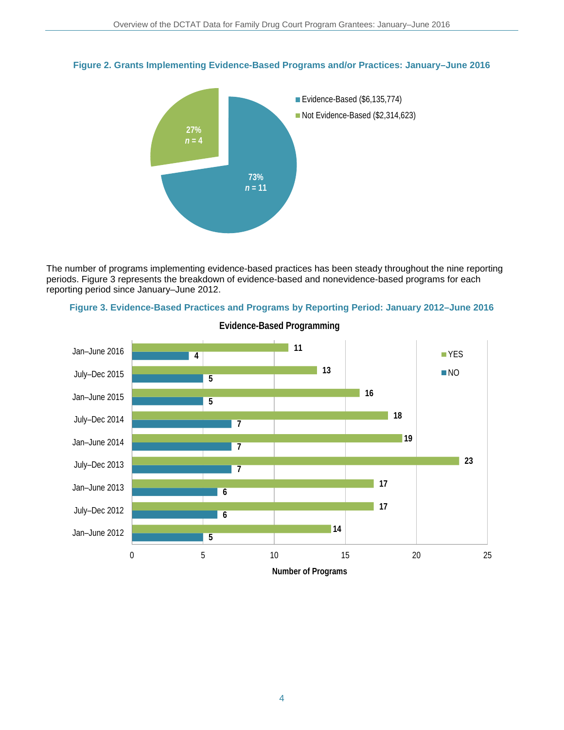



The number of programs implementing evidence-based practices has been steady throughout the nine reporting periods. Figure 3 represents the breakdown of evidence-based and nonevidence-based programs for each reporting period since January–June 2012.





**Evidence-Based Programming**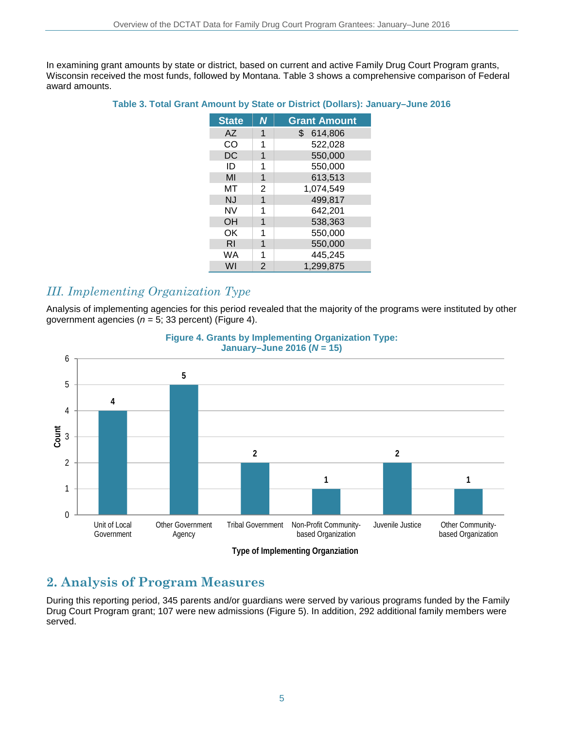In examining grant amounts by state or district, based on current and active Family Drug Court Program grants, Wisconsin received the most funds, followed by Montana. Table 3 shows a comprehensive comparison of Federal award amounts.

#### **Table 3. Total Grant Amount by State or District (Dollars): January–June 2016**

| <b>State</b> | Ν | <b>Grant Amount</b>       |
|--------------|---|---------------------------|
| <b>AZ</b>    | 1 | $\mathbb{S}^-$<br>614,806 |
| CO           | 1 | 522,028                   |
| DC           | 1 | 550,000                   |
| ID           | 1 | 550,000                   |
| MI           | 1 | 613,513                   |
| МΤ           | 2 | 1,074,549                 |
| <b>NJ</b>    | 1 | 499,817                   |
| NV           |   | 642,201                   |
| OΗ           | 1 | 538,363                   |
| ΟK           |   | 550,000                   |
| RI           | 1 | 550,000                   |
| WA           | 1 | 445,245                   |
| WI           | 2 | 1,299,875                 |

## *III. Implementing Organization Type*

Analysis of implementing agencies for this period revealed that the majority of the programs were instituted by other government agencies (*n* = 5; 33 percent) (Figure 4).



#### **Figure 4. Grants by Implementing Organization Type: January–June 2016 (***N* **= 15)**

# **2. Analysis of Program Measures**

During this reporting period, 345 parents and/or guardians were served by various programs funded by the Family Drug Court Program grant; 107 were new admissions (Figure 5). In addition, 292 additional family members were served.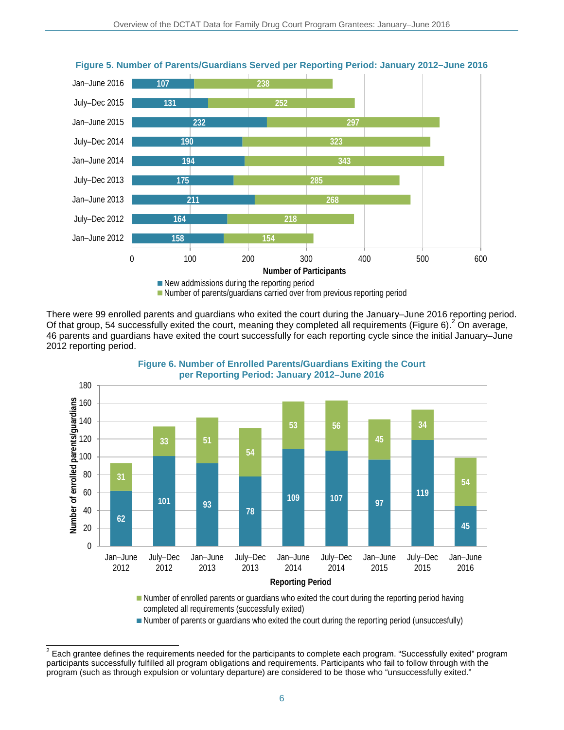

**Figure 5. Number of Parents/Guardians Served per Reporting Period: January 2012–June 2016** 

Number of parents/guardians carried over from previous reporting period

There were 99 enrolled parents and guardians who exited the court during the January–June 2016 reporting period. Of that group, 54 successfully exited the court, meaning they completed all requirements (Figure 6).<sup>2</sup> On average, 46 parents and guardians have exited the court successfully for each reporting cycle since the initial January–June 2012 reporting period.



**Figure 6. Number of Enrolled Parents/Guardians Exiting the Court per Reporting Period: January 2012–June 2016**

Number of enrolled parents or guardians who exited the court during the reporting period having completed all requirements (successfully exited)

Number of parents or guardians who exited the court during the reporting period (unsuccesfully)

 $^2$  Each grantee defines the requirements needed for the participants to complete each program. "Successfully exited" program participants successfully fulfilled all program obligations and requirements. Participants who fail to follow through with the program (such as through expulsion or voluntary departure) are considered to be those who "unsuccessfully exited."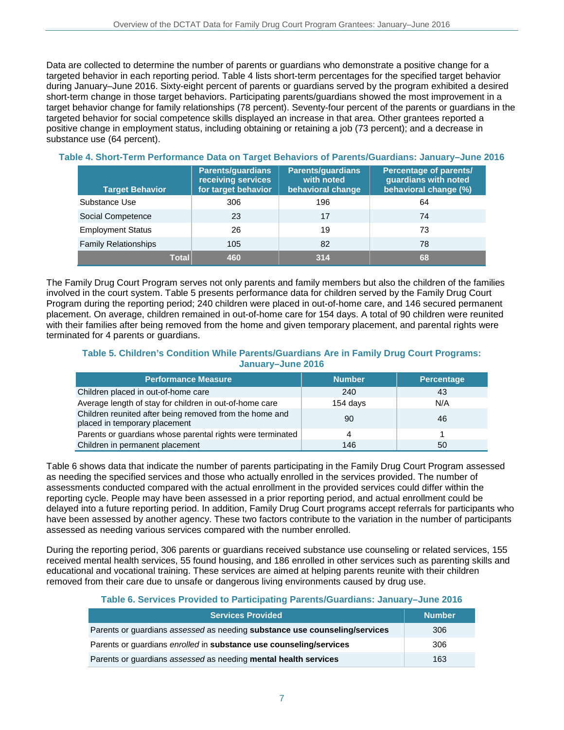Data are collected to determine the number of parents or guardians who demonstrate a positive change for a targeted behavior in each reporting period. Table 4 lists short-term percentages for the specified target behavior during January–June 2016. Sixty-eight percent of parents or guardians served by the program exhibited a desired short-term change in those target behaviors. Participating parents/guardians showed the most improvement in a target behavior change for family relationships (78 percent). Seventy-four percent of the parents or guardians in the targeted behavior for social competence skills displayed an increase in that area. Other grantees reported a positive change in employment status, including obtaining or retaining a job (73 percent); and a decrease in substance use (64 percent).

| <b>Target Behavior</b>      | <b>Parents/guardians</b><br>receiving services<br>for target behavior | <b>Parents/guardians</b><br>with noted<br>behavioral change | <b>Percentage of parents/</b><br>guardians with noted<br>behavioral change (%) |
|-----------------------------|-----------------------------------------------------------------------|-------------------------------------------------------------|--------------------------------------------------------------------------------|
| Substance Use               | 306                                                                   | 196                                                         | 64                                                                             |
| Social Competence           | 23                                                                    | 17                                                          | 74                                                                             |
| <b>Employment Status</b>    | 26                                                                    | 19                                                          | 73                                                                             |
| <b>Family Relationships</b> | 105                                                                   | 82                                                          | 78                                                                             |
| Total                       | 460                                                                   | 314                                                         | 68                                                                             |

#### **Table 4. Short-Term Performance Data on Target Behaviors of Parents/Guardians: January–June 2016**

The Family Drug Court Program serves not only parents and family members but also the children of the families involved in the court system. Table 5 presents performance data for children served by the Family Drug Court Program during the reporting period; 240 children were placed in out-of-home care, and 146 secured permanent placement. On average, children remained in out-of-home care for 154 days. A total of 90 children were reunited with their families after being removed from the home and given temporary placement, and parental rights were terminated for 4 parents or guardians.

#### **Table 5. Children's Condition While Parents/Guardians Are in Family Drug Court Programs: January–June 2016**

| <b>Performance Measure</b>                                                               | <b>Number</b> | Percentage |
|------------------------------------------------------------------------------------------|---------------|------------|
| Children placed in out-of-home care                                                      | 240           | 43         |
| Average length of stay for children in out-of-home care                                  | 154 days      | N/A        |
| Children reunited after being removed from the home and<br>placed in temporary placement | 90            | 46         |
| Parents or guardians whose parental rights were terminated                               |               |            |
| Children in permanent placement                                                          | 146           | 50         |

Table 6 shows data that indicate the number of parents participating in the Family Drug Court Program assessed as needing the specified services and those who actually enrolled in the services provided. The number of assessments conducted compared with the actual enrollment in the provided services could differ within the reporting cycle. People may have been assessed in a prior reporting period, and actual enrollment could be delayed into a future reporting period. In addition, Family Drug Court programs accept referrals for participants who have been assessed by another agency. These two factors contribute to the variation in the number of participants assessed as needing various services compared with the number enrolled.

During the reporting period, 306 parents or guardians received substance use counseling or related services, 155 received mental health services, 55 found housing, and 186 enrolled in other services such as parenting skills and educational and vocational training. These services are aimed at helping parents reunite with their children removed from their care due to unsafe or dangerous living environments caused by drug use.

#### **Table 6. Services Provided to Participating Parents/Guardians: January–June 2016**

| <b>Services Provided</b>                                                   | <b>Number</b> |
|----------------------------------------------------------------------------|---------------|
| Parents or guardians assessed as needing substance use counseling/services | 306           |
| Parents or guardians enrolled in substance use counseling/services         | 306           |
| Parents or guardians assessed as needing mental health services            | 163           |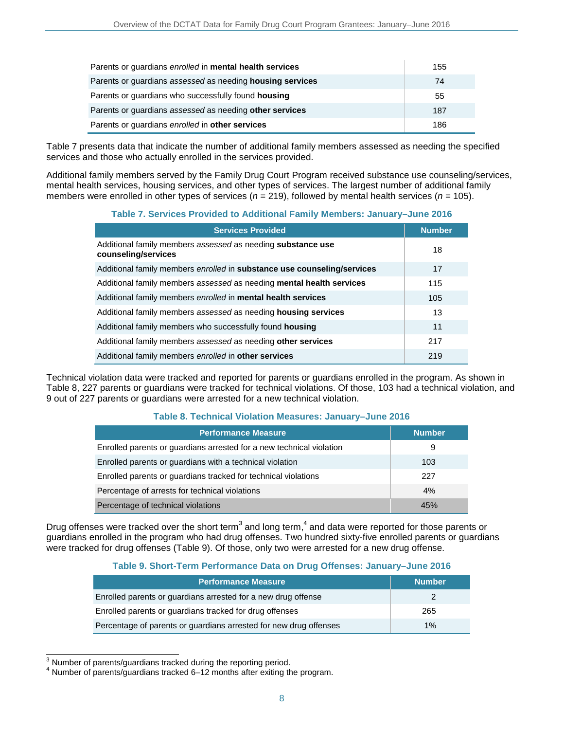| Parents or guardians enrolled in mental health services   | 155 |
|-----------------------------------------------------------|-----|
| Parents or guardians assessed as needing housing services | 74  |
| Parents or guardians who successfully found housing       | 55  |
| Parents or guardians assessed as needing other services   | 187 |
| Parents or guardians enrolled in other services           | 186 |

Table 7 presents data that indicate the number of additional family members assessed as needing the specified services and those who actually enrolled in the services provided.

Additional family members served by the Family Drug Court Program received substance use counseling/services, mental health services, housing services, and other types of services. The largest number of additional family members were enrolled in other types of services (*n* = 219), followed by mental health services (*n* = 105).

#### **Table 7. Services Provided to Additional Family Members: January–June 2016**

| <b>Services Provided</b>                                                           | <b>Number</b> |
|------------------------------------------------------------------------------------|---------------|
| Additional family members assessed as needing substance use<br>counseling/services | 18            |
| Additional family members enrolled in substance use counseling/services            | 17            |
| Additional family members assessed as needing mental health services               | 115           |
| Additional family members enrolled in mental health services                       | 105           |
| Additional family members assessed as needing housing services                     | 13            |
| Additional family members who successfully found housing                           | 11            |
| Additional family members assessed as needing other services                       | 217           |
| Additional family members enrolled in other services                               | 219           |

Technical violation data were tracked and reported for parents or guardians enrolled in the program. As shown in Table 8, 227 parents or guardians were tracked for technical violations. Of those, 103 had a technical violation, and 9 out of 227 parents or guardians were arrested for a new technical violation.

#### **Table 8. Technical Violation Measures: January–June 2016**

| <b>Performance Measure</b>                                           | <b>Number</b> |
|----------------------------------------------------------------------|---------------|
| Enrolled parents or guardians arrested for a new technical violation | 9             |
| Enrolled parents or guardians with a technical violation             | 103           |
| Enrolled parents or guardians tracked for technical violations       | 227           |
| Percentage of arrests for technical violations                       | 4%            |
| Percentage of technical violations                                   | 45%           |

Drug offenses were tracked over the short term<sup>3</sup> and long term,<sup>4</sup> and data were reported for those parents or guardians enrolled in the program who had drug offenses. Two hundred sixty-five enrolled parents or guardians were tracked for drug offenses (Table 9). Of those, only two were arrested for a new drug offense.

#### **Table 9. Short-Term Performance Data on Drug Offenses: January–June 2016**

| <b>Performance Measure</b>                                        | <b>Number</b> |
|-------------------------------------------------------------------|---------------|
| Enrolled parents or guardians arrested for a new drug offense     |               |
| Enrolled parents or quardians tracked for drug offenses           | 265           |
| Percentage of parents or guardians arrested for new drug offenses | 1%            |

<sup>3</sup> Number of parents/guardians tracked during the reporting period.

 $4$  Number of parents/guardians tracked 6–12 months after exiting the program.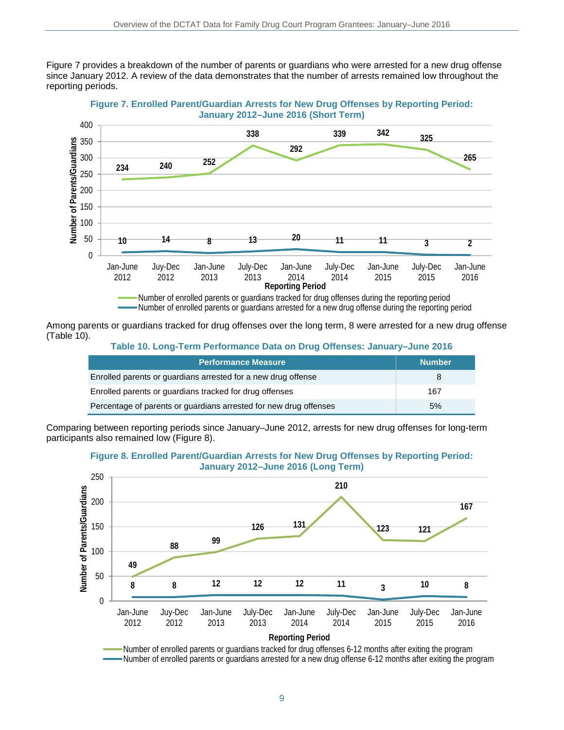Figure 7 provides a breakdown of the number of parents or guardians who were arrested for a new drug offense since January 2012. A review of the data demonstrates that the number of arrests remained low throughout the reporting periods.





Among parents or guardians tracked for drug offenses over the long term, 8 were arrested for a new drug offense (Table 10).

**Table 10. Long-Term Performance Data on Drug Offenses: January–June 2016**

| <b>Performance Measure</b>                                        | <b>Number</b> |
|-------------------------------------------------------------------|---------------|
| Enrolled parents or guardians arrested for a new drug offense     | 8             |
| Enrolled parents or guardians tracked for drug offenses           | 167           |
| Percentage of parents or guardians arrested for new drug offenses | 5%            |

Comparing between reporting periods since January–June 2012, arrests for new drug offenses for long-term participants also remained low (Figure 8).





Number of enrolled parents or guardians tracked for drug offenses 6-12 months after exiting the program Number of enrolled parents or quardians arrested for a new drug offense 6-12 months after exiting the program